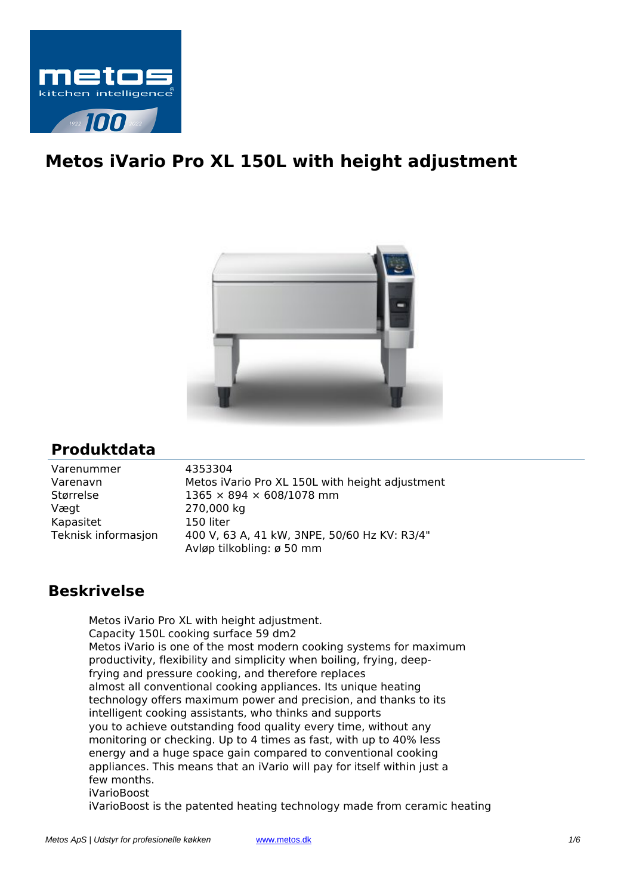

## **Metos iVario Pro XL 150L with height adjustment**



## **Produktdata**

| Varenummer          | 4353304                                         |
|---------------------|-------------------------------------------------|
| Varenavn            | Metos iVario Pro XL 150L with height adjustment |
| Størrelse           | $1365 \times 894 \times 608/1078$ mm            |
| Vægt                | 270,000 kg                                      |
| Kapasitet           | 150 liter                                       |
| Teknisk informasjon | 400 V, 63 A, 41 kW, 3NPE, 50/60 Hz KV: R3/4"    |
|                     | Avløp tilkobling: ø 50 mm                       |

## **Beskrivelse**

Metos iVario Pro XL with height adjustment. Capacity 150L cooking surface 59 dm2 Metos iVario is one of the most modern cooking systems for maximum productivity, flexibility and simplicity when boiling, frying, deepfrying and pressure cooking, and therefore replaces almost all conventional cooking appliances. Its unique heating technology offers maximum power and precision, and thanks to its intelligent cooking assistants, who thinks and supports you to achieve outstanding food quality every time, without any monitoring or checking. Up to 4 times as fast, with up to 40% less energy and a huge space gain compared to conventional cooking appliances. This means that an iVario will pay for itself within just a few months. iVarioBoost

iVarioBoost is the patented heating technology made from ceramic heating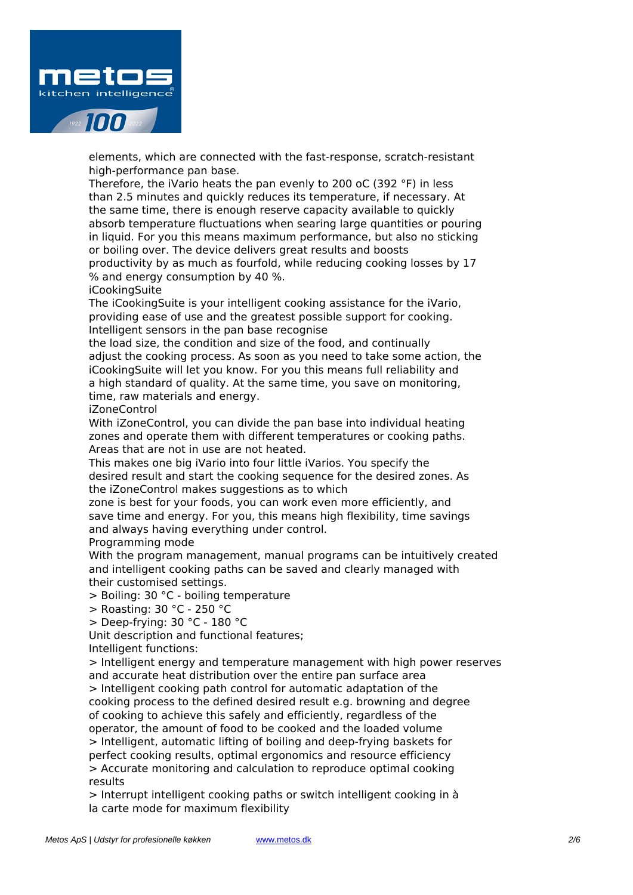

elements, which are connected with the fast-response, scratch-resistant high-performance pan base.

Therefore, the iVario heats the pan evenly to 200 oC (392 °F) in less than 2.5 minutes and quickly reduces its temperature, if necessary. At the same time, there is enough reserve capacity available to quickly absorb temperature fluctuations when searing large quantities or pouring in liquid. For you this means maximum performance, but also no sticking or boiling over. The device delivers great results and boosts productivity by as much as fourfold, while reducing cooking losses by 17 % and energy consumption by 40 %.

iCookingSuite

The iCookingSuite is your intelligent cooking assistance for the iVario, providing ease of use and the greatest possible support for cooking. Intelligent sensors in the pan base recognise

the load size, the condition and size of the food, and continually adjust the cooking process. As soon as you need to take some action, the iCookingSuite will let you know. For you this means full reliability and a high standard of quality. At the same time, you save on monitoring, time, raw materials and energy.

iZoneControl

With iZoneControl, you can divide the pan base into individual heating zones and operate them with different temperatures or cooking paths. Areas that are not in use are not heated.

This makes one big iVario into four little iVarios. You specify the desired result and start the cooking sequence for the desired zones. As the iZoneControl makes suggestions as to which

zone is best for your foods, you can work even more efficiently, and save time and energy. For you, this means high flexibility, time savings and always having everything under control.

Programming mode

With the program management, manual programs can be intuitively created and intelligent cooking paths can be saved and clearly managed with their customised settings.

> Boiling: 30 °C - boiling temperature

> Roasting: 30 °C - 250 °C

> Deep-frying: 30 °C - 180 °C

Unit description and functional features;

Intelligent functions:

> Intelligent energy and temperature management with high power reserves and accurate heat distribution over the entire pan surface area > Intelligent cooking path control for automatic adaptation of the cooking process to the defined desired result e.g. browning and degree of cooking to achieve this safely and efficiently, regardless of the operator, the amount of food to be cooked and the loaded volume > Intelligent, automatic lifting of boiling and deep-frying baskets for perfect cooking results, optimal ergonomics and resource efficiency > Accurate monitoring and calculation to reproduce optimal cooking results

> Interrupt intelligent cooking paths or switch intelligent cooking in à la carte mode for maximum flexibility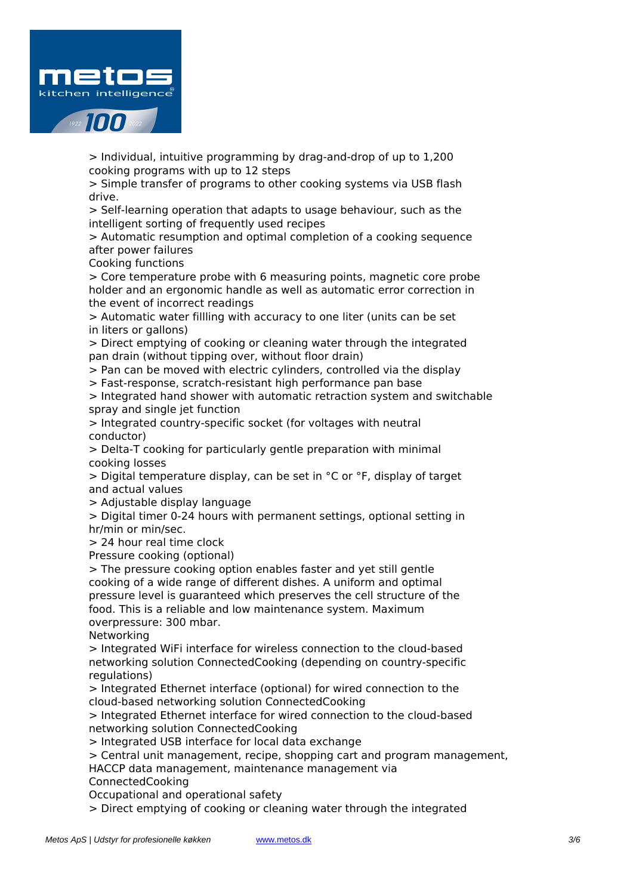

> Individual, intuitive programming by drag-and-drop of up to 1,200 cooking programs with up to 12 steps

> Simple transfer of programs to other cooking systems via USB flash drive.

> Self-learning operation that adapts to usage behaviour, such as the intelligent sorting of frequently used recipes

> Automatic resumption and optimal completion of a cooking sequence after power failures

Cooking functions

> Core temperature probe with 6 measuring points, magnetic core probe holder and an ergonomic handle as well as automatic error correction in the event of incorrect readings

> Automatic water fillling with accuracy to one liter (units can be set in liters or gallons)

> Direct emptying of cooking or cleaning water through the integrated pan drain (without tipping over, without floor drain)

> Pan can be moved with electric cylinders, controlled via the display

> Fast-response, scratch-resistant high performance pan base

> Integrated hand shower with automatic retraction system and switchable spray and single jet function

> Integrated country-specific socket (for voltages with neutral conductor)

> Delta-T cooking for particularly gentle preparation with minimal cooking losses

> Digital temperature display, can be set in °C or °F, display of target and actual values

> Adjustable display language

> Digital timer 0-24 hours with permanent settings, optional setting in hr/min or min/sec.

> 24 hour real time clock

Pressure cooking (optional)

> The pressure cooking option enables faster and yet still gentle cooking of a wide range of different dishes. A uniform and optimal pressure level is guaranteed which preserves the cell structure of the food. This is a reliable and low maintenance system. Maximum overpressure: 300 mbar.

Networking

> Integrated WiFi interface for wireless connection to the cloud-based networking solution ConnectedCooking (depending on country-specific regulations)

> Integrated Ethernet interface (optional) for wired connection to the cloud-based networking solution ConnectedCooking

> Integrated Ethernet interface for wired connection to the cloud-based networking solution ConnectedCooking

> Integrated USB interface for local data exchange

> Central unit management, recipe, shopping cart and program management,

HACCP data management, maintenance management via ConnectedCooking

Occupational and operational safety

> Direct emptying of cooking or cleaning water through the integrated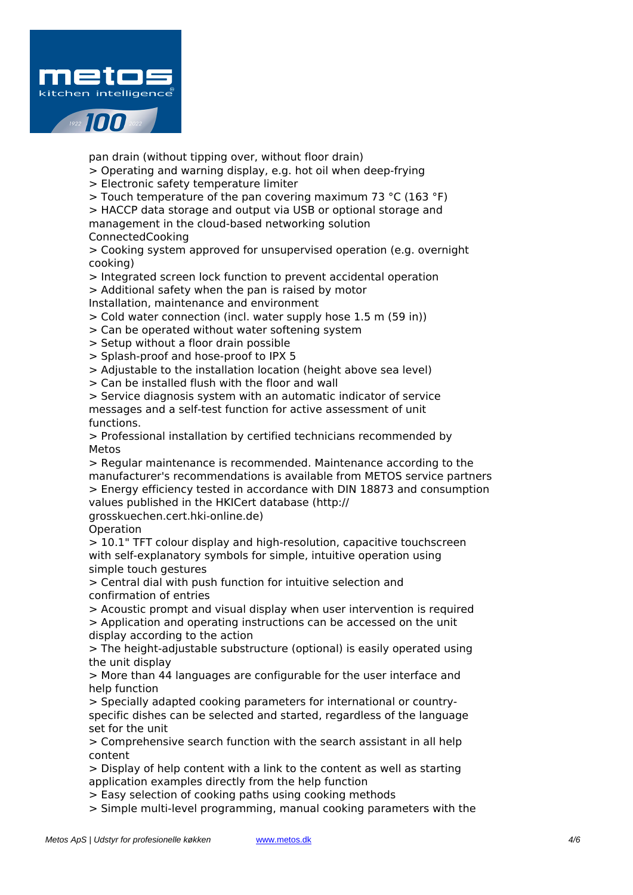

pan drain (without tipping over, without floor drain)

> Operating and warning display, e.g. hot oil when deep-frying

> Electronic safety temperature limiter

> Touch temperature of the pan covering maximum 73 °C (163 °F)

> HACCP data storage and output via USB or optional storage and management in the cloud-based networking solution

ConnectedCooking

> Cooking system approved for unsupervised operation (e.g. overnight cooking)

> Integrated screen lock function to prevent accidental operation

> Additional safety when the pan is raised by motor

Installation, maintenance and environment

> Cold water connection (incl. water supply hose 1.5 m (59 in))

> Can be operated without water softening system

> Setup without a floor drain possible

> Splash-proof and hose-proof to IPX 5

> Adjustable to the installation location (height above sea level)

> Can be installed flush with the floor and wall

> Service diagnosis system with an automatic indicator of service messages and a self-test function for active assessment of unit functions.

> Professional installation by certified technicians recommended by Metos

> Regular maintenance is recommended. Maintenance according to the manufacturer's recommendations is available from METOS service partners > Energy efficiency tested in accordance with DIN 18873 and consumption values published in the HKICert database (http://

grosskuechen.cert.hki-online.de)

Operation

> 10.1" TFT colour display and high-resolution, capacitive touchscreen with self-explanatory symbols for simple, intuitive operation using simple touch gestures

> Central dial with push function for intuitive selection and confirmation of entries

> Acoustic prompt and visual display when user intervention is required

> Application and operating instructions can be accessed on the unit display according to the action

> The height-adjustable substructure (optional) is easily operated using the unit display

> More than 44 languages are configurable for the user interface and help function

> Specially adapted cooking parameters for international or countryspecific dishes can be selected and started, regardless of the language set for the unit

> Comprehensive search function with the search assistant in all help content

> Display of help content with a link to the content as well as starting application examples directly from the help function

> Easy selection of cooking paths using cooking methods

> Simple multi-level programming, manual cooking parameters with the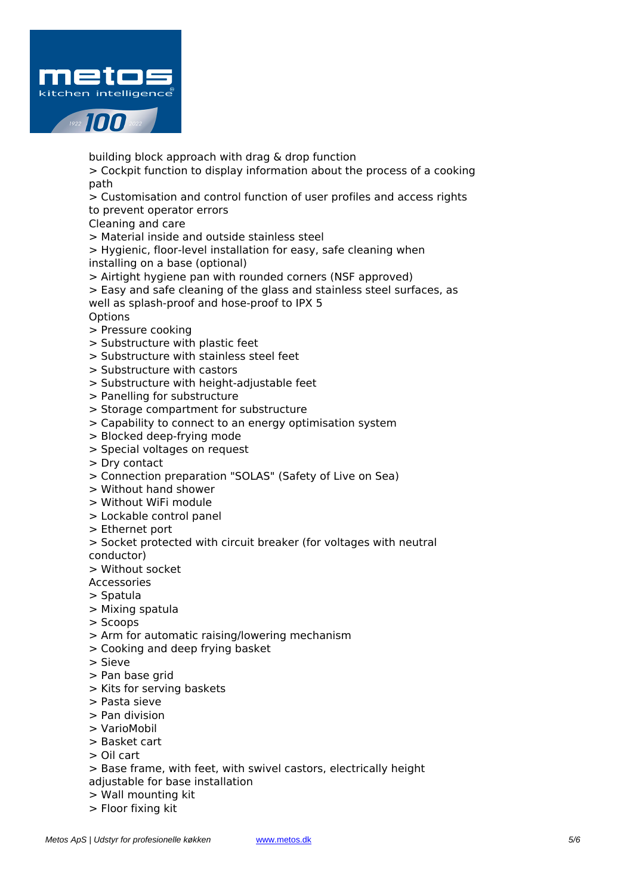

building block approach with drag & drop function

> Cockpit function to display information about the process of a cooking path

> Customisation and control function of user profiles and access rights to prevent operator errors

Cleaning and care

> Material inside and outside stainless steel

> Hygienic, floor-level installation for easy, safe cleaning when installing on a base (optional)

> Airtight hygiene pan with rounded corners (NSF approved)

> Easy and safe cleaning of the glass and stainless steel surfaces, as well as splash-proof and hose-proof to IPX 5

- **Options**
- > Pressure cooking
- > Substructure with plastic feet
- > Substructure with stainless steel feet
- > Substructure with castors
- > Substructure with height-adjustable feet
- > Panelling for substructure
- > Storage compartment for substructure
- > Capability to connect to an energy optimisation system
- > Blocked deep-frying mode
- > Special voltages on request
- > Dry contact
- > Connection preparation "SOLAS" (Safety of Live on Sea)
- > Without hand shower
- > Without WiFi module
- > Lockable control panel
- > Ethernet port
- > Socket protected with circuit breaker (for voltages with neutral
- conductor)
- > Without socket

Accessories

- > Spatula
- > Mixing spatula
- > Scoops
- > Arm for automatic raising/lowering mechanism
- > Cooking and deep frying basket
- > Sieve
- > Pan base grid
- > Kits for serving baskets
- > Pasta sieve
- > Pan division
- > VarioMobil
- > Basket cart
- > Oil cart
- > Base frame, with feet, with swivel castors, electrically height
- adjustable for base installation
- > Wall mounting kit
- > Floor fixing kit